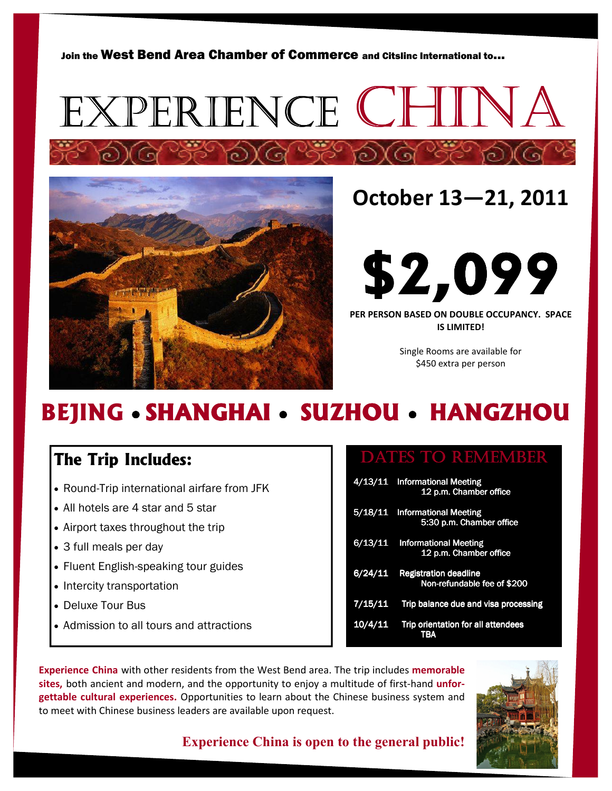Join the West Bend Area Chamber of Commerce and Citslinc International to...





## October 13—21, 2011



PER PERSON BASED ON DOUBLE OCCUPANCY. SPACE IS LIMITED!

> Single Rooms are available for \$450 extra per person

## **BEJING • SHANGHAI • SUZHOU • HANGZHOU**

### **The Trip Includes:**

- Round-Trip international airfare from JFK
- All hotels are 4 star and 5 star
- Airport taxes throughout the trip
- 3 full meals per day
- Fluent English-speaking tour guides
- Intercity transportation
- Deluxe Tour Bus
- Admission to all tours and attractions

### DATES TO REMEMBER

|         | 4/13/11 Informational Meeting<br>12 p.m. Chamber office      |
|---------|--------------------------------------------------------------|
| 5/18/11 | <b>Informational Meeting</b><br>5:30 p.m. Chamber office     |
|         | 6/13/11 Informational Meeting<br>12 p.m. Chamber office      |
|         | 6/24/11 Registration deadline<br>Non-refundable fee of \$200 |
| 7/15/11 | Trip balance due and visa processing                         |
| 10/4/11 | Trip orientation for all attendees<br>TBA                    |

Experience China with other residents from the West Bend area. The trip includes memorable sites, both ancient and modern, and the opportunity to enjoy a multitude of first-hand unforgettable cultural experiences. Opportunities to learn about the Chinese business system and to meet with Chinese business leaders are available upon request.



### Experience China is open to the general public!